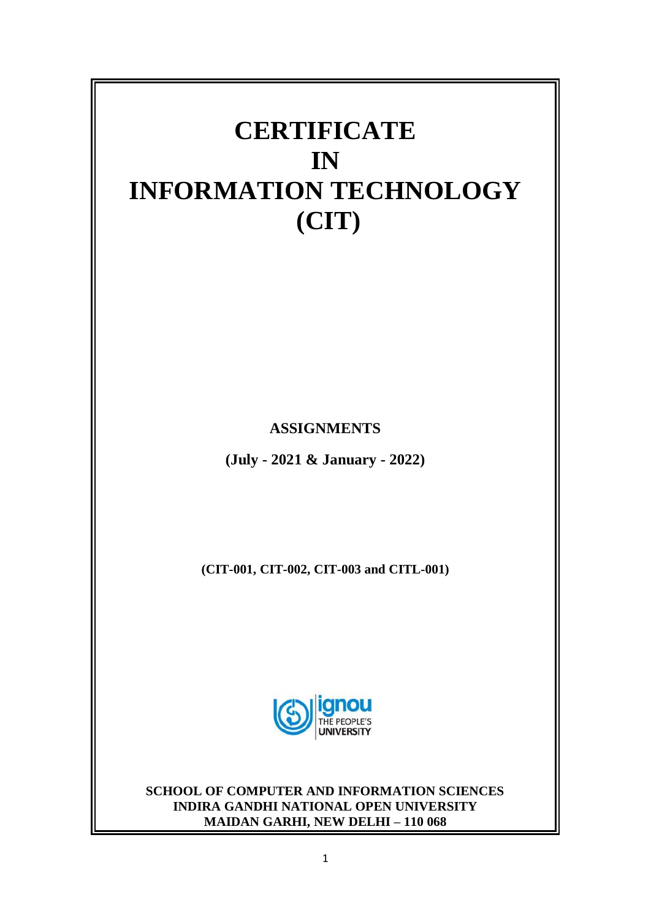

**ASSIGNMENTS**

**(July - 2021 & January - 2022)**

**(CIT-001, CIT-002, CIT-003 and CITL-001)** 



**SCHOOL OF COMPUTER AND INFORMATION SCIENCES INDIRA GANDHI NATIONAL OPEN UNIVERSITY MAIDAN GARHI, NEW DELHI – 110 068**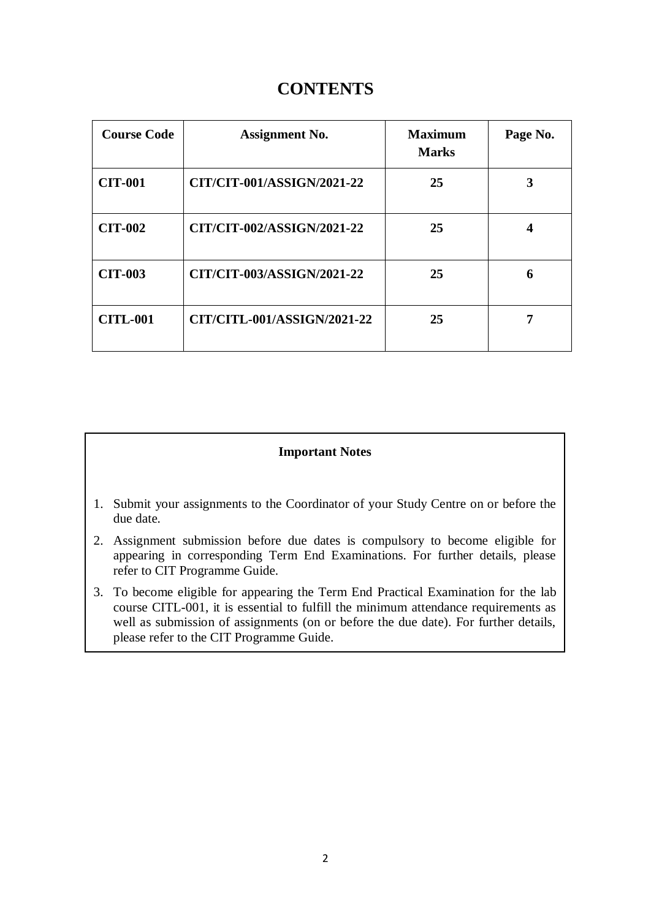# **CONTENTS**

| <b>Course Code</b> | <b>Assignment No.</b>       | <b>Maximum</b><br><b>Marks</b> | Page No. |
|--------------------|-----------------------------|--------------------------------|----------|
| <b>CIT-001</b>     | CIT/CIT-001/ASSIGN/2021-22  | 25                             | 3        |
| <b>CIT-002</b>     | CIT/CIT-002/ASSIGN/2021-22  | 25                             | 4        |
| <b>CIT-003</b>     | CIT/CIT-003/ASSIGN/2021-22  | 25                             | 6        |
| <b>CITL-001</b>    | CIT/CITL-001/ASSIGN/2021-22 | 25                             |          |

## **Important Notes**

- 1. Submit your assignments to the Coordinator of your Study Centre on or before the due date.
- 2. Assignment submission before due dates is compulsory to become eligible for appearing in corresponding Term End Examinations. For further details, please refer to CIT Programme Guide.
- 3. To become eligible for appearing the Term End Practical Examination for the lab course CITL-001, it is essential to fulfill the minimum attendance requirements as well as submission of assignments (on or before the due date). For further details, please refer to the CIT Programme Guide.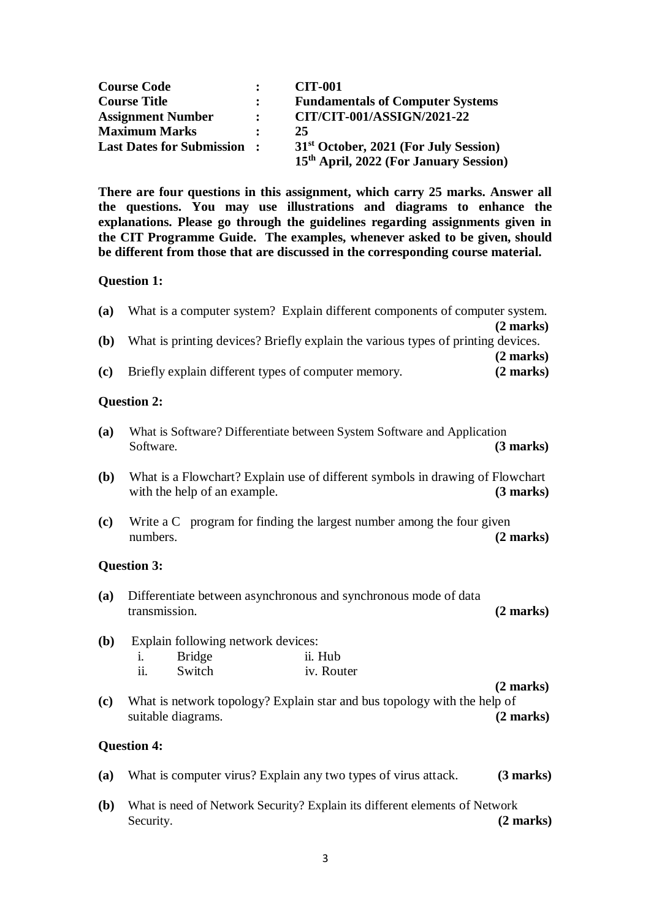| <b>Course Code</b>                | $\ddot{\phantom{a}}$ | <b>CIT-001</b>                                                                                          |
|-----------------------------------|----------------------|---------------------------------------------------------------------------------------------------------|
| <b>Course Title</b>               | $\ddot{\cdot}$       | <b>Fundamentals of Computer Systems</b>                                                                 |
| <b>Assignment Number</b>          | $\mathbf{L}$         | CIT/CIT-001/ASSIGN/2021-22                                                                              |
| <b>Maximum Marks</b>              |                      | 25                                                                                                      |
| <b>Last Dates for Submission:</b> |                      | 31 <sup>st</sup> October, 2021 (For July Session)<br>15 <sup>th</sup> April, 2022 (For January Session) |

**There are four questions in this assignment, which carry 25 marks. Answer all the questions. You may use illustrations and diagrams to enhance the explanations. Please go through the guidelines regarding assignments given in the CIT Programme Guide. The examples, whenever asked to be given, should be different from those that are discussed in the corresponding course material.**

### **Question 1:**

| (a)          | What is a computer system? Explain different components of computer system.                                   | $(2 \text{ marks})$                        |
|--------------|---------------------------------------------------------------------------------------------------------------|--------------------------------------------|
| ( <b>b</b> ) | What is printing devices? Briefly explain the various types of printing devices.                              | $(2 \text{ marks})$                        |
| (c)          | Briefly explain different types of computer memory.                                                           | $(2 \text{ marks})$                        |
|              | <b>Question 2:</b>                                                                                            |                                            |
| (a)          | What is Software? Differentiate between System Software and Application<br>Software.                          | $(3 \text{ marks})$                        |
| ( <b>b</b> ) | What is a Flowchart? Explain use of different symbols in drawing of Flowchart<br>with the help of an example. | $(3 \text{ marks})$                        |
| (c)          | Write a C program for finding the largest number among the four given<br>numbers.                             | $(2 \text{ marks})$                        |
|              | <b>Question 3:</b>                                                                                            |                                            |
| (a)          | Differentiate between asynchronous and synchronous mode of data<br>transmission.                              | $(2 \text{ marks})$                        |
| ( <b>b</b> ) | Explain following network devices:                                                                            |                                            |
|              | <b>Bridge</b><br>ii. Hub<br>$\mathbf{1}$ .<br>ii.<br>Switch<br>iv. Router                                     |                                            |
| (c)          | What is network topology? Explain star and bus topology with the help of<br>suitable diagrams.                | $(2 \text{ marks})$<br>$(2 \text{ marks})$ |
|              | <b>Question 4:</b>                                                                                            |                                            |
| (a)          | What is computer virus? Explain any two types of virus attack.                                                | (3 marks)                                  |

**(b)** What is need of Network Security? Explain its different elements of Network Security. **(2 marks)**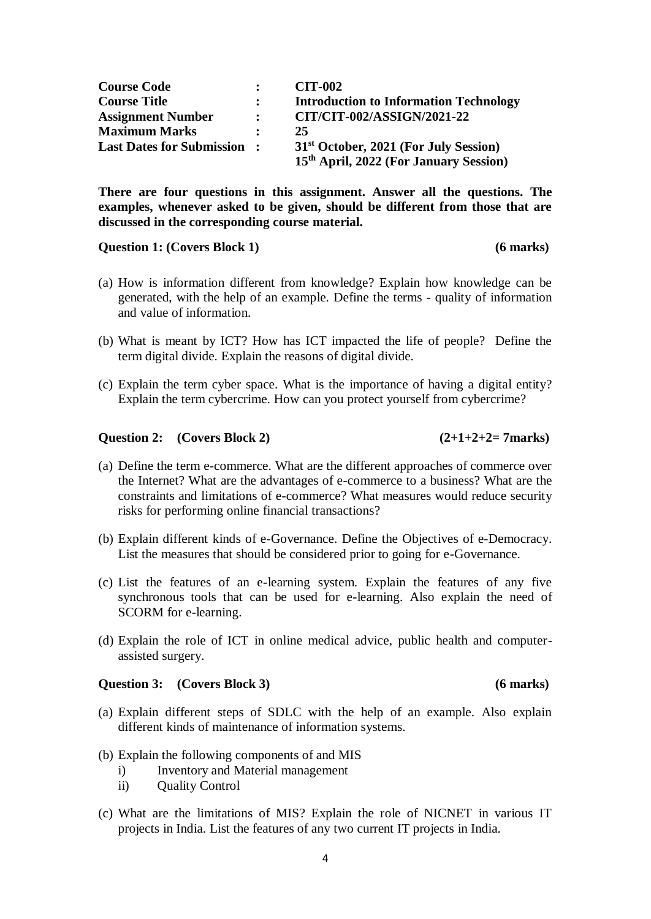| <b>Course Code</b>                |                      | <b>CIT-002</b>                                     |
|-----------------------------------|----------------------|----------------------------------------------------|
| <b>Course Title</b>               | $\ddot{\phantom{a}}$ | <b>Introduction to Information Technology</b>      |
| <b>Assignment Number</b>          | $\ddot{\cdot}$       | CIT/CIT-002/ASSIGN/2021-22                         |
| <b>Maximum Marks</b>              |                      | 25                                                 |
| <b>Last Dates for Submission:</b> |                      | 31 <sup>st</sup> October, 2021 (For July Session)  |
|                                   |                      | 15 <sup>th</sup> April, 2022 (For January Session) |

**There are four questions in this assignment. Answer all the questions. The examples, whenever asked to be given, should be different from those that are discussed in the corresponding course material.**

#### **Question 1: (Covers Block 1) (6 marks)**

- (a) How is information different from knowledge? Explain how knowledge can be generated, with the help of an example. Define the terms - quality of information and value of information.
- (b) What is meant by ICT? How has ICT impacted the life of people? Define the term digital divide. Explain the reasons of digital divide.
- (c) Explain the term cyber space. What is the importance of having a digital entity? Explain the term cybercrime. How can you protect yourself from cybercrime?

### **Question 2:** (Covers Block 2)  $(2+1+2+2=7$ marks)

- (a) Define the term e-commerce. What are the different approaches of commerce over the Internet? What are the advantages of e-commerce to a business? What are the constraints and limitations of e-commerce? What measures would reduce security risks for performing online financial transactions?
- (b) Explain different kinds of e-Governance. Define the Objectives of e-Democracy. List the measures that should be considered prior to going for e-Governance.
- (c) List the features of an e-learning system. Explain the features of any five synchronous tools that can be used for e-learning. Also explain the need of SCORM for e-learning.
- (d) Explain the role of ICT in online medical advice, public health and computerassisted surgery.

#### **Question 3: (Covers Block 3) (6 marks)**

- (a) Explain different steps of SDLC with the help of an example. Also explain different kinds of maintenance of information systems.
- (b) Explain the following components of and MIS
	- i) Inventory and Material management
	- ii) Quality Control
- (c) What are the limitations of MIS? Explain the role of NICNET in various IT projects in India. List the features of any two current IT projects in India.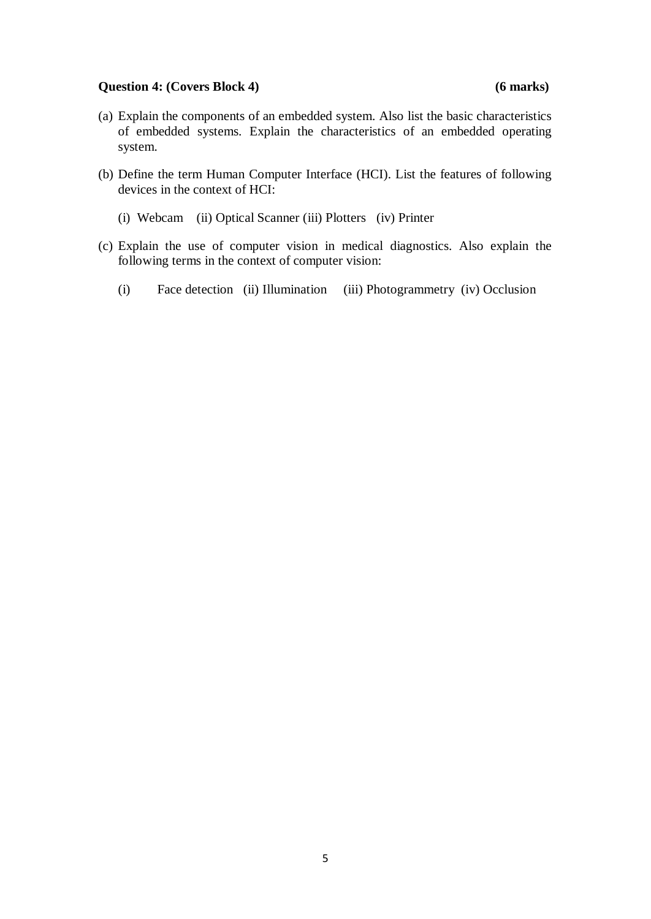### **Question 4: (Covers Block 4) (6 marks)**

- (a) Explain the components of an embedded system. Also list the basic characteristics of embedded systems. Explain the characteristics of an embedded operating system.
- (b) Define the term Human Computer Interface (HCI). List the features of following devices in the context of HCI:
	- (i) Webcam (ii) Optical Scanner (iii) Plotters (iv) Printer
- (c) Explain the use of computer vision in medical diagnostics. Also explain the following terms in the context of computer vision:
	- (i) Face detection (ii) Illumination (iii) Photogrammetry (iv) Occlusion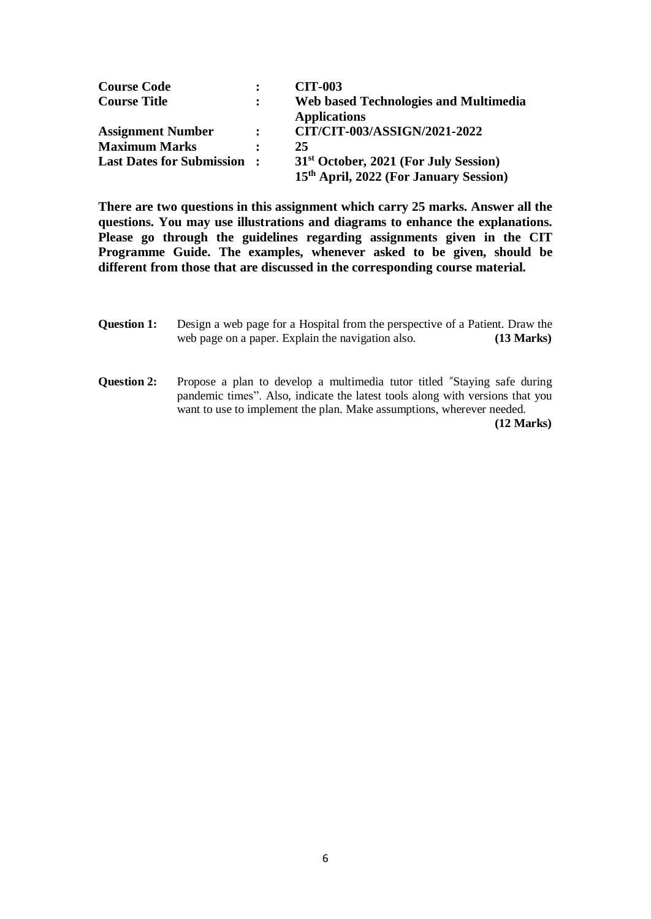| <b>Course Code</b>                |                | <b>CIT-003</b>                                     |
|-----------------------------------|----------------|----------------------------------------------------|
| <b>Course Title</b>               |                | <b>Web based Technologies and Multimedia</b>       |
|                                   |                | <b>Applications</b>                                |
| <b>Assignment Number</b>          | $\ddot{\cdot}$ | CIT/CIT-003/ASSIGN/2021-2022                       |
| <b>Maximum Marks</b>              | $\mathbf{r}$   | 25                                                 |
| <b>Last Dates for Submission:</b> |                | 31 <sup>st</sup> October, 2021 (For July Session)  |
|                                   |                | 15 <sup>th</sup> April, 2022 (For January Session) |

**There are two questions in this assignment which carry 25 marks. Answer all the questions. You may use illustrations and diagrams to enhance the explanations. Please go through the guidelines regarding assignments given in the CIT Programme Guide. The examples, whenever asked to be given, should be different from those that are discussed in the corresponding course material.**

- **Question 1:** Design a web page for a Hospital from the perspective of a Patient. Draw the web page on a paper. Explain the navigation also. **(13 Marks)**
- **Question 2:** Propose a plan to develop a multimedia tutor titled "Staying safe during pandemic times". Also, indicate the latest tools along with versions that you want to use to implement the plan. Make assumptions, wherever needed. **(12 Marks)**